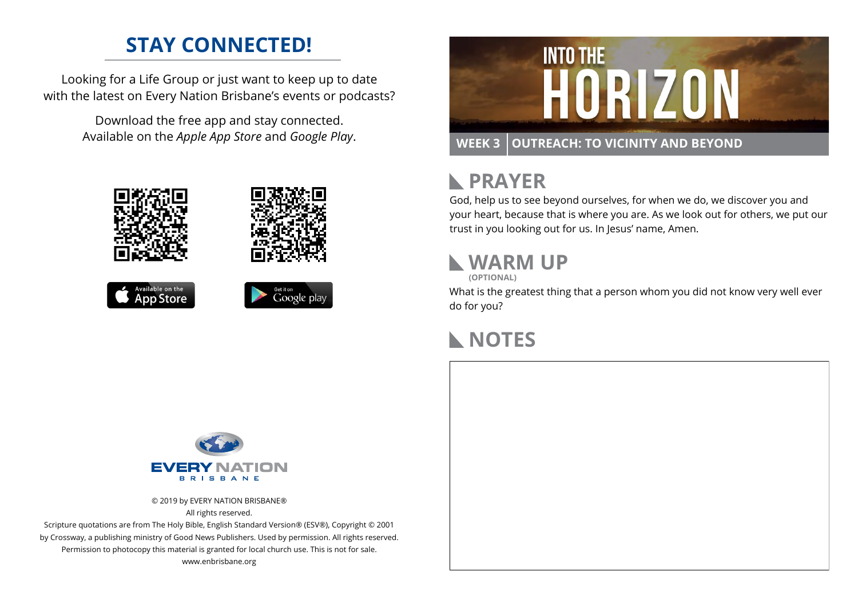### **STAY CONNECTED!**

Looking for a Life Group or just want to keep up to date with the latest on Every Nation Brisbane's events or podcasts?

> Download the free app and stay connected. Available on the *Apple App Store* and *Google Play*.









# **RAYER**

God, help us to see beyond ourselves, for when we do, we discover you and your heart, because that is where you are. As we look out for others, we put our trust in you looking out for us. In Jesus' name, Amen.

## **WARM UP**

**(OPTIONAL)**

What is the greatest thing that a person whom you did not know very well ever do for you?

#### **NOTES**



© 2019 by EVERY NATION BRISBANE® All rights reserved.

Scripture quotations are from The Holy Bible, English Standard Version® (ESV®), Copyright © 2001 by Crossway, a publishing ministry of Good News Publishers. Used by permission. All rights reserved. Permission to photocopy this material is granted for local church use. This is not for sale. www.enbrisbane.org